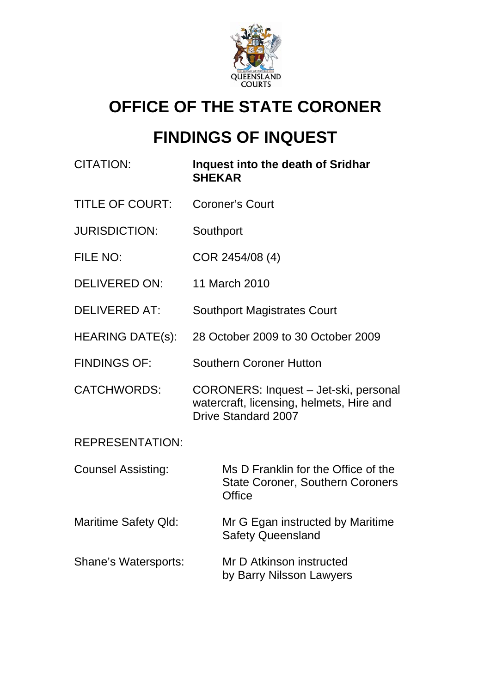

# **OFFICE OF THE STATE CORONER**

# **FINDINGS OF INQUEST**

| <b>CITATION:</b>            | Inquest into the death of Sridhar<br><b>SHEKAR</b>                                                              |
|-----------------------------|-----------------------------------------------------------------------------------------------------------------|
| <b>TITLE OF COURT:</b>      | <b>Coroner's Court</b>                                                                                          |
| <b>JURISDICTION:</b>        | Southport                                                                                                       |
| FILE NO:                    | COR 2454/08 (4)                                                                                                 |
| <b>DELIVERED ON:</b>        | 11 March 2010                                                                                                   |
| <b>DELIVERED AT:</b>        | <b>Southport Magistrates Court</b>                                                                              |
| <b>HEARING DATE(s):</b>     | 28 October 2009 to 30 October 2009                                                                              |
| <b>FINDINGS OF:</b>         | <b>Southern Coroner Hutton</b>                                                                                  |
| <b>CATCHWORDS:</b>          | CORONERS: Inquest - Jet-ski, personal<br>watercraft, licensing, helmets, Hire and<br><b>Drive Standard 2007</b> |
| <b>REPRESENTATION:</b>      |                                                                                                                 |
| <b>Counsel Assisting:</b>   | Ms D Franklin for the Office of the<br><b>State Coroner, Southern Coroners</b><br><b>Office</b>                 |
| <b>Maritime Safety Qld:</b> | Mr G Egan instructed by Maritime<br><b>Safety Queensland</b>                                                    |
| Shane's Watersports:        | Mr D Atkinson instructed<br>by Barry Nilsson Lawyers                                                            |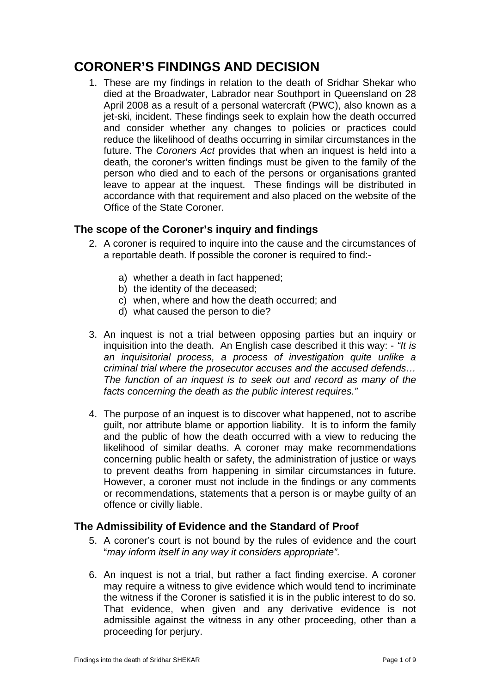# **CORONER'S FINDINGS AND DECISION**

1. These are my findings in relation to the death of Sridhar Shekar who died at the Broadwater, Labrador near Southport in Queensland on 28 April 2008 as a result of a personal watercraft (PWC), also known as a jet-ski, incident. These findings seek to explain how the death occurred and consider whether any changes to policies or practices could reduce the likelihood of deaths occurring in similar circumstances in the future. The *Coroners Act* provides that when an inquest is held into a death, the coroner's written findings must be given to the family of the person who died and to each of the persons or organisations granted leave to appear at the inquest. These findings will be distributed in accordance with that requirement and also placed on the website of the Office of the State Coroner.

# **The scope of the Coroner's inquiry and findings**

- 2. A coroner is required to inquire into the cause and the circumstances of a reportable death. If possible the coroner is required to find:
	- a) whether a death in fact happened;
	- b) the identity of the deceased;
	- c) when, where and how the death occurred; and
	- d) what caused the person to die?
- 3. An inquest is not a trial between opposing parties but an inquiry or inquisition into the death. An English case described it this way: - *"It is an inquisitorial process, a process of investigation quite unlike a criminal trial where the prosecutor accuses and the accused defends… The function of an inquest is to seek out and record as many of the facts concerning the death as the public interest requires."*
- 4. The purpose of an inquest is to discover what happened, not to ascribe guilt, nor attribute blame or apportion liability. It is to inform the family and the public of how the death occurred with a view to reducing the likelihood of similar deaths. A coroner may make recommendations concerning public health or safety, the administration of justice or ways to prevent deaths from happening in similar circumstances in future. However, a coroner must not include in the findings or any comments or recommendations, statements that a person is or maybe guilty of an offence or civilly liable.

# **The Admissibility of Evidence and the Standard of Proof**

- 5. A coroner's court is not bound by the rules of evidence and the court "*may inform itself in any way it considers appropriate".*
- 6. An inquest is not a trial, but rather a fact finding exercise. A coroner may require a witness to give evidence which would tend to incriminate the witness if the Coroner is satisfied it is in the public interest to do so. That evidence, when given and any derivative evidence is not admissible against the witness in any other proceeding, other than a proceeding for perjury.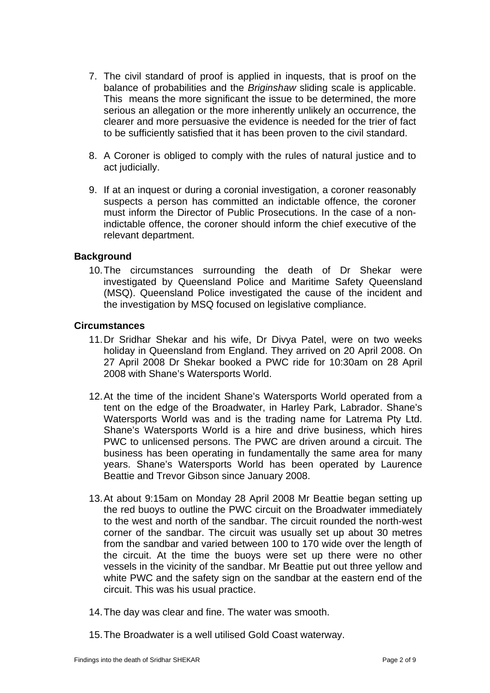- 7. The civil standard of proof is applied in inquests, that is proof on the balance of probabilities and the *Briginshaw* sliding scale is applicable. This means the more significant the issue to be determined, the more serious an allegation or the more inherently unlikely an occurrence, the clearer and more persuasive the evidence is needed for the trier of fact to be sufficiently satisfied that it has been proven to the civil standard.
- 8. A Coroner is obliged to comply with the rules of natural justice and to act judicially.
- 9. If at an inquest or during a coronial investigation, a coroner reasonably suspects a person has committed an indictable offence, the coroner must inform the Director of Public Prosecutions. In the case of a nonindictable offence, the coroner should inform the chief executive of the relevant department.

# **Background**

10. The circumstances surrounding the death of Dr Shekar were investigated by Queensland Police and Maritime Safety Queensland (MSQ). Queensland Police investigated the cause of the incident and the investigation by MSQ focused on legislative compliance.

#### **Circumstances**

- 11. Dr Sridhar Shekar and his wife, Dr Divya Patel, were on two weeks holiday in Queensland from England. They arrived on 20 April 2008. On 27 April 2008 Dr Shekar booked a PWC ride for 10:30am on 28 April 2008 with Shane's Watersports World.
- 12. At the time of the incident Shane's Watersports World operated from a tent on the edge of the Broadwater, in Harley Park, Labrador. Shane's Watersports World was and is the trading name for Latrema Pty Ltd. Shane's Watersports World is a hire and drive business, which hires PWC to unlicensed persons. The PWC are driven around a circuit. The business has been operating in fundamentally the same area for many years. Shane's Watersports World has been operated by Laurence Beattie and Trevor Gibson since January 2008.
- 13. At about 9:15am on Monday 28 April 2008 Mr Beattie began setting up the red buoys to outline the PWC circuit on the Broadwater immediately to the west and north of the sandbar. The circuit rounded the north-west corner of the sandbar. The circuit was usually set up about 30 metres from the sandbar and varied between 100 to 170 wide over the length of the circuit. At the time the buoys were set up there were no other vessels in the vicinity of the sandbar. Mr Beattie put out three yellow and white PWC and the safety sign on the sandbar at the eastern end of the circuit. This was his usual practice.
- 14. The day was clear and fine. The water was smooth.
- 15. The Broadwater is a well utilised Gold Coast waterway.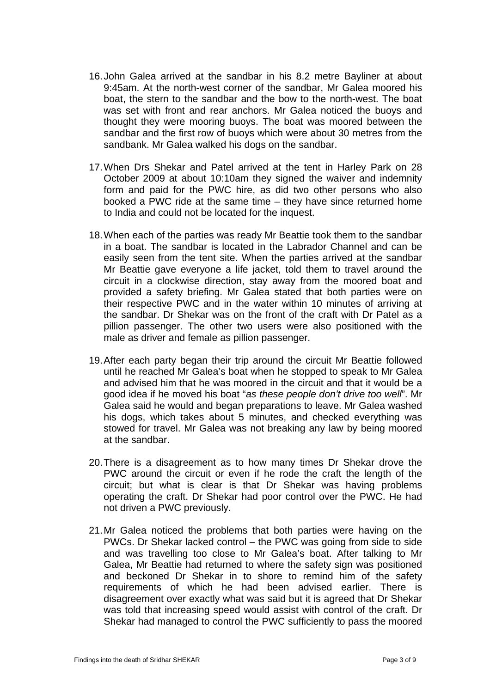- 16. John Galea arrived at the sandbar in his 8.2 metre Bayliner at about 9:45am. At the north-west corner of the sandbar, Mr Galea moored his boat, the stern to the sandbar and the bow to the north-west. The boat was set with front and rear anchors. Mr Galea noticed the buoys and thought they were mooring buoys. The boat was moored between the sandbar and the first row of buoys which were about 30 metres from the sandbank. Mr Galea walked his dogs on the sandbar.
- 17. When Drs Shekar and Patel arrived at the tent in Harley Park on 28 October 2009 at about 10:10am they signed the waiver and indemnity form and paid for the PWC hire, as did two other persons who also booked a PWC ride at the same time – they have since returned home to India and could not be located for the inquest.
- 18. When each of the parties was ready Mr Beattie took them to the sandbar in a boat. The sandbar is located in the Labrador Channel and can be easily seen from the tent site. When the parties arrived at the sandbar Mr Beattie gave everyone a life jacket, told them to travel around the circuit in a clockwise direction, stay away from the moored boat and provided a safety briefing. Mr Galea stated that both parties were on their respective PWC and in the water within 10 minutes of arriving at the sandbar. Dr Shekar was on the front of the craft with Dr Patel as a pillion passenger. The other two users were also positioned with the male as driver and female as pillion passenger.
- 19. After each party began their trip around the circuit Mr Beattie followed until he reached Mr Galea's boat when he stopped to speak to Mr Galea and advised him that he was moored in the circuit and that it would be a good idea if he moved his boat "*as these people don't drive too well*". Mr Galea said he would and began preparations to leave. Mr Galea washed his dogs, which takes about 5 minutes, and checked everything was stowed for travel. Mr Galea was not breaking any law by being moored at the sandbar.
- 20. There is a disagreement as to how many times Dr Shekar drove the PWC around the circuit or even if he rode the craft the length of the circuit; but what is clear is that Dr Shekar was having problems operating the craft. Dr Shekar had poor control over the PWC. He had not driven a PWC previously.
- 21. Mr Galea noticed the problems that both parties were having on the PWCs. Dr Shekar lacked control – the PWC was going from side to side and was travelling too close to Mr Galea's boat. After talking to Mr Galea, Mr Beattie had returned to where the safety sign was positioned and beckoned Dr Shekar in to shore to remind him of the safety requirements of which he had been advised earlier. There is disagreement over exactly what was said but it is agreed that Dr Shekar was told that increasing speed would assist with control of the craft. Dr Shekar had managed to control the PWC sufficiently to pass the moored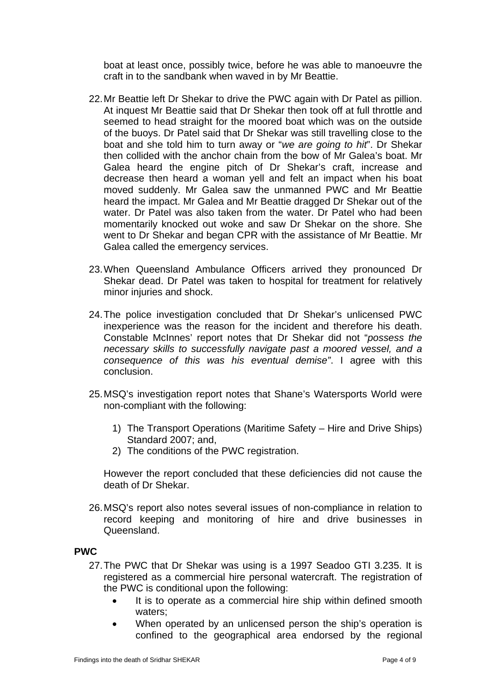boat at least once, possibly twice, before he was able to manoeuvre the craft in to the sandbank when waved in by Mr Beattie.

- 22. Mr Beattie left Dr Shekar to drive the PWC again with Dr Patel as pillion. At inquest Mr Beattie said that Dr Shekar then took off at full throttle and seemed to head straight for the moored boat which was on the outside of the buoys. Dr Patel said that Dr Shekar was still travelling close to the boat and she told him to turn away or "*we are going to hit*". Dr Shekar then collided with the anchor chain from the bow of Mr Galea's boat. Mr Galea heard the engine pitch of Dr Shekar's craft, increase and decrease then heard a woman yell and felt an impact when his boat moved suddenly. Mr Galea saw the unmanned PWC and Mr Beattie heard the impact. Mr Galea and Mr Beattie dragged Dr Shekar out of the water. Dr Patel was also taken from the water. Dr Patel who had been momentarily knocked out woke and saw Dr Shekar on the shore. She went to Dr Shekar and began CPR with the assistance of Mr Beattie. Mr Galea called the emergency services.
- 23. When Queensland Ambulance Officers arrived they pronounced Dr Shekar dead. Dr Patel was taken to hospital for treatment for relatively minor injuries and shock.
- 24. The police investigation concluded that Dr Shekar's unlicensed PWC inexperience was the reason for the incident and therefore his death. Constable McInnes' report notes that Dr Shekar did not "*possess the necessary skills to successfully navigate past a moored vessel, and a consequence of this was his eventual demise"*. I agree with this conclusion.
- 25. MSQ's investigation report notes that Shane's Watersports World were non-compliant with the following:
	- 1) The Transport Operations (Maritime Safety Hire and Drive Ships) Standard 2007; and,
	- 2) The conditions of the PWC registration.

However the report concluded that these deficiencies did not cause the death of Dr Shekar.

26. MSQ's report also notes several issues of non-compliance in relation to record keeping and monitoring of hire and drive businesses in Queensland.

#### **PWC**

- 27. The PWC that Dr Shekar was using is a 1997 Seadoo GTI 3.235. It is registered as a commercial hire personal watercraft. The registration of the PWC is conditional upon the following:
	- It is to operate as a commercial hire ship within defined smooth waters;
	- When operated by an unlicensed person the ship's operation is confined to the geographical area endorsed by the regional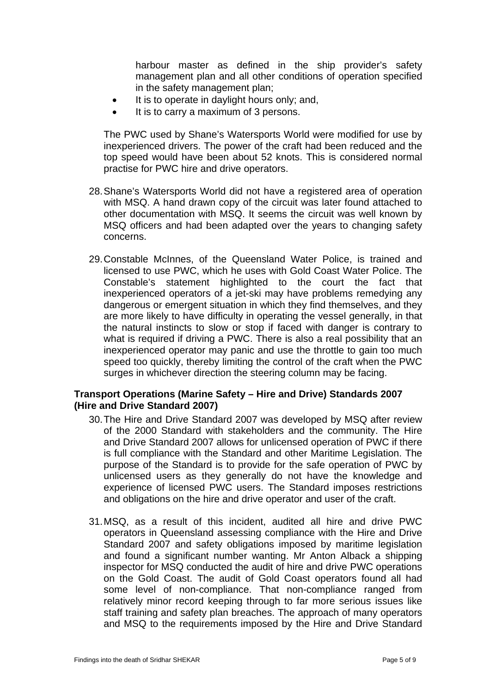harbour master as defined in the ship provider's safety management plan and all other conditions of operation specified in the safety management plan;

- It is to operate in daylight hours only; and,
- It is to carry a maximum of 3 persons.

The PWC used by Shane's Watersports World were modified for use by inexperienced drivers. The power of the craft had been reduced and the top speed would have been about 52 knots. This is considered normal practise for PWC hire and drive operators.

- 28. Shane's Watersports World did not have a registered area of operation with MSQ. A hand drawn copy of the circuit was later found attached to other documentation with MSQ. It seems the circuit was well known by MSQ officers and had been adapted over the years to changing safety concerns.
- 29. Constable McInnes, of the Queensland Water Police, is trained and licensed to use PWC, which he uses with Gold Coast Water Police. The Constable's statement highlighted to the court the fact that inexperienced operators of a jet-ski may have problems remedying any dangerous or emergent situation in which they find themselves, and they are more likely to have difficulty in operating the vessel generally, in that the natural instincts to slow or stop if faced with danger is contrary to what is required if driving a PWC. There is also a real possibility that an inexperienced operator may panic and use the throttle to gain too much speed too quickly, thereby limiting the control of the craft when the PWC surges in whichever direction the steering column may be facing.

# **Transport Operations (Marine Safety – Hire and Drive) Standards 2007 (Hire and Drive Standard 2007)**

- 30. The Hire and Drive Standard 2007 was developed by MSQ after review of the 2000 Standard with stakeholders and the community. The Hire and Drive Standard 2007 allows for unlicensed operation of PWC if there is full compliance with the Standard and other Maritime Legislation. The purpose of the Standard is to provide for the safe operation of PWC by unlicensed users as they generally do not have the knowledge and experience of licensed PWC users. The Standard imposes restrictions and obligations on the hire and drive operator and user of the craft.
- 31. MSQ, as a result of this incident, audited all hire and drive PWC operators in Queensland assessing compliance with the Hire and Drive Standard 2007 and safety obligations imposed by maritime legislation and found a significant number wanting. Mr Anton Alback a shipping inspector for MSQ conducted the audit of hire and drive PWC operations on the Gold Coast. The audit of Gold Coast operators found all had some level of non-compliance. That non-compliance ranged from relatively minor record keeping through to far more serious issues like staff training and safety plan breaches. The approach of many operators and MSQ to the requirements imposed by the Hire and Drive Standard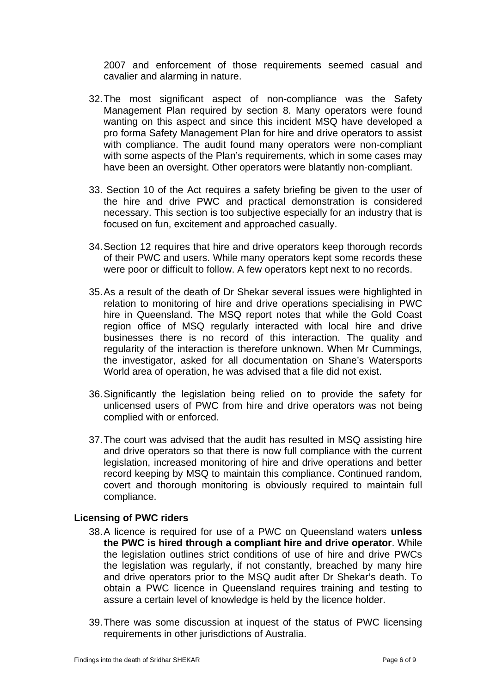2007 and enforcement of those requirements seemed casual and cavalier and alarming in nature.

- 32. The most significant aspect of non-compliance was the Safety Management Plan required by section 8. Many operators were found wanting on this aspect and since this incident MSQ have developed a pro forma Safety Management Plan for hire and drive operators to assist with compliance. The audit found many operators were non-compliant with some aspects of the Plan's requirements, which in some cases may have been an oversight. Other operators were blatantly non-compliant.
- 33. Section 10 of the Act requires a safety briefing be given to the user of the hire and drive PWC and practical demonstration is considered necessary. This section is too subjective especially for an industry that is focused on fun, excitement and approached casually.
- 34. Section 12 requires that hire and drive operators keep thorough records of their PWC and users. While many operators kept some records these were poor or difficult to follow. A few operators kept next to no records.
- 35. As a result of the death of Dr Shekar several issues were highlighted in relation to monitoring of hire and drive operations specialising in PWC hire in Queensland. The MSQ report notes that while the Gold Coast region office of MSQ regularly interacted with local hire and drive businesses there is no record of this interaction. The quality and regularity of the interaction is therefore unknown. When Mr Cummings, the investigator, asked for all documentation on Shane's Watersports World area of operation, he was advised that a file did not exist.
- 36. Significantly the legislation being relied on to provide the safety for unlicensed users of PWC from hire and drive operators was not being complied with or enforced.
- 37. The court was advised that the audit has resulted in MSQ assisting hire and drive operators so that there is now full compliance with the current legislation, increased monitoring of hire and drive operations and better record keeping by MSQ to maintain this compliance. Continued random, covert and thorough monitoring is obviously required to maintain full compliance.

#### **Licensing of PWC riders**

- 38. A licence is required for use of a PWC on Queensland waters **unless the PWC is hired through a compliant hire and drive operator**. While the legislation outlines strict conditions of use of hire and drive PWCs the legislation was regularly, if not constantly, breached by many hire and drive operators prior to the MSQ audit after Dr Shekar's death. To obtain a PWC licence in Queensland requires training and testing to assure a certain level of knowledge is held by the licence holder.
- 39. There was some discussion at inquest of the status of PWC licensing requirements in other jurisdictions of Australia.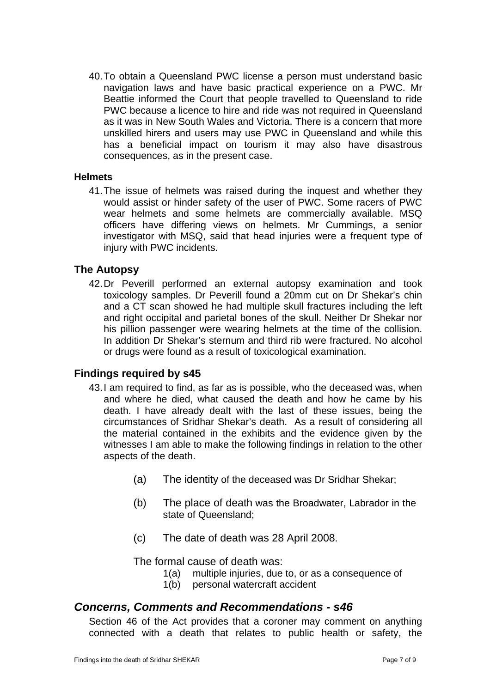40. To obtain a Queensland PWC license a person must understand basic navigation laws and have basic practical experience on a PWC. Mr Beattie informed the Court that people travelled to Queensland to ride PWC because a licence to hire and ride was not required in Queensland as it was in New South Wales and Victoria. There is a concern that more unskilled hirers and users may use PWC in Queensland and while this has a beneficial impact on tourism it may also have disastrous consequences, as in the present case.

#### **Helmets**

41. The issue of helmets was raised during the inquest and whether they would assist or hinder safety of the user of PWC. Some racers of PWC wear helmets and some helmets are commercially available. MSQ officers have differing views on helmets. Mr Cummings, a senior investigator with MSQ, said that head injuries were a frequent type of injury with PWC incidents.

# **The Autopsy**

42. Dr Peverill performed an external autopsy examination and took toxicology samples. Dr Peverill found a 20mm cut on Dr Shekar's chin and a CT scan showed he had multiple skull fractures including the left and right occipital and parietal bones of the skull. Neither Dr Shekar nor his pillion passenger were wearing helmets at the time of the collision. In addition Dr Shekar's sternum and third rib were fractured. No alcohol or drugs were found as a result of toxicological examination.

# **Findings required by s45**

- 43. I am required to find, as far as is possible, who the deceased was, when and where he died, what caused the death and how he came by his death. I have already dealt with the last of these issues, being the circumstances of Sridhar Shekar's death. As a result of considering all the material contained in the exhibits and the evidence given by the witnesses I am able to make the following findings in relation to the other aspects of the death.
	- (a) The identity of the deceased was Dr Sridhar Shekar;
	- (b) The place of death was the Broadwater, Labrador in the state of Queensland;
	- (c) The date of death was 28 April 2008.

The formal cause of death was:

- 1(a) multiple injuries, due to, or as a consequence of
- 1(b) personal watercraft accident

# *Concerns, Comments and Recommendations - s46*

Section 46 of the Act provides that a coroner may comment on anything connected with a death that relates to public health or safety, the